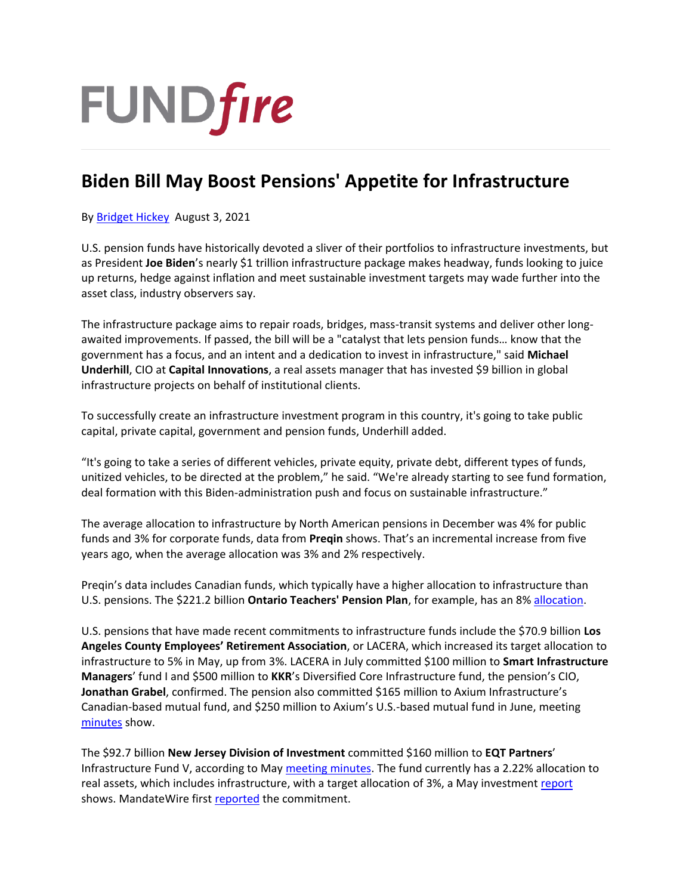

## **Biden Bill May Boost Pensions' Appetite for Infrastructure**

By [Bridget Hickey](https://www.fundfire.com/email-contributor/139853/3271764/414284) August 3, 2021

U.S. pension funds have historically devoted a sliver of their portfolios to infrastructure investments, but as President **Joe Biden**'s nearly \$1 trillion infrastructure package makes headway, funds looking to juice up returns, hedge against inflation and meet sustainable investment targets may wade further into the asset class, industry observers say.

The infrastructure package aims to repair roads, bridges, mass-transit systems and deliver other longawaited improvements. If passed, the bill will be a "catalyst that lets pension funds… know that the government has a focus, and an intent and a dedication to invest in infrastructure," said **Michael Underhill**, CIO at **Capital Innovations**, a real assets manager that has invested \$9 billion in global infrastructure projects on behalf of institutional clients.

To successfully create an infrastructure investment program in this country, it's going to take public capital, private capital, government and pension funds, Underhill added.

"It's going to take a series of different vehicles, private equity, private debt, different types of funds, unitized vehicles, to be directed at the problem," he said. "We're already starting to see fund formation, deal formation with this Biden-administration push and focus on sustainable infrastructure."

The average allocation to infrastructure by North American pensions in December was 4% for public funds and 3% for corporate funds, data from **Preqin** shows. That's an incremental increase from five years ago, when the average allocation was 3% and 2% respectively.

Preqin's data includes Canadian funds, which typically have a higher allocation to infrastructure than U.S. pensions. The \$221.2 billion **Ontario Teachers' Pension Plan**, for example, has an 8[% allocation.](https://www.otpp.com/documents/10179/1223191/2020+Annual+Report/ca2d6839-0ede-4848-9719-4ba6c65ba954)

U.S. pensions that have made recent commitments to infrastructure funds include the \$70.9 billion **Los Angeles County Employees' Retirement Association**, or LACERA, which increased its target allocation to infrastructure to 5% in May, up from 3%. LACERA in July committed \$100 million to **Smart Infrastructure Managers**' fund I and \$500 million to **KKR**'s Diversified Core Infrastructure fund, the pension's CIO, **Jonathan Grabel**, confirmed. The pension also committed \$165 million to Axium Infrastructure's Canadian-based mutual fund, and \$250 million to Axium's U.S.-based mutual fund in June, meeting [minutes](http://lacera.prod.acquia-sites.com/sites/default/files/assets/documents/board/2021-07-14_boi_agnd.pdf) show.

The \$92.7 billion **New Jersey Division of Investment** committed \$160 million to **EQT Partners**' Infrastructure Fund V, according to May [meeting minutes.](https://www.nj.gov/treasury/doinvest/pdf/SICAgenda/AgendaItem1-MinutesoftheRegularSICMeeting5262021.pdf) The fund currently has a 2.22% allocation to real assets, which includes infrastructure, with a target allocation of 3%, a May investmen[t report](https://www.nj.gov/treasury/doinvest/pdf/DirectorsReport/2021/MayFinal.pdf) shows. MandateWire first [reported](https://northamerica.mandatewire.com/c/3259994?referrer_module=article) the commitment.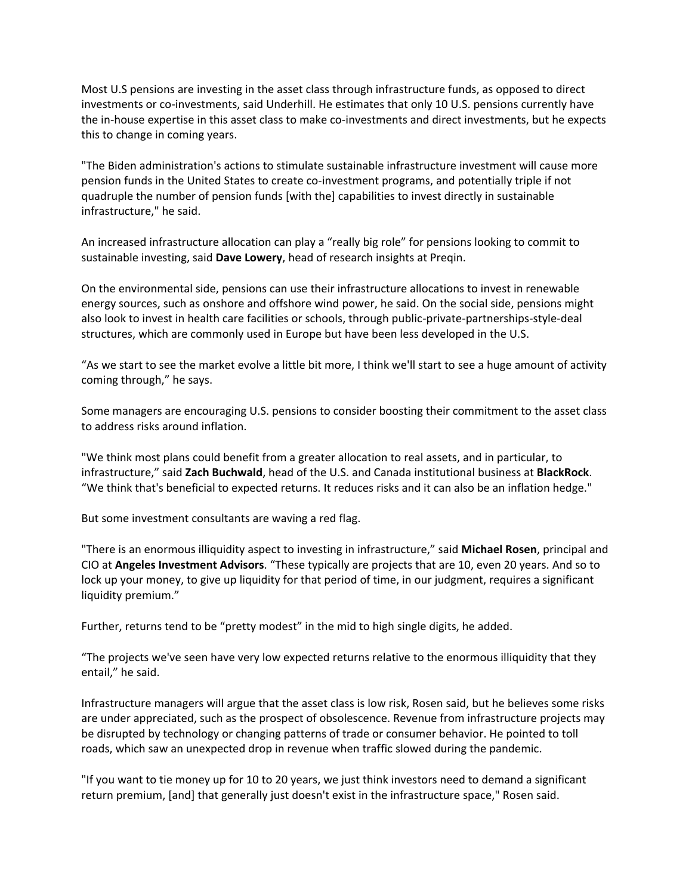Most U.S pensions are investing in the asset class through infrastructure funds, as opposed to direct investments or co-investments, said Underhill. He estimates that only 10 U.S. pensions currently have the in-house expertise in this asset class to make co-investments and direct investments, but he expects this to change in coming years.

"The Biden administration's actions to stimulate sustainable infrastructure investment will cause more pension funds in the United States to create co-investment programs, and potentially triple if not quadruple the number of pension funds [with the] capabilities to invest directly in sustainable infrastructure," he said.

An increased infrastructure allocation can play a "really big role" for pensions looking to commit to sustainable investing, said **Dave Lowery**, head of research insights at Preqin.

On the environmental side, pensions can use their infrastructure allocations to invest in renewable energy sources, such as onshore and offshore wind power, he said. On the social side, pensions might also look to invest in health care facilities or schools, through public-private-partnerships-style-deal structures, which are commonly used in Europe but have been less developed in the U.S.

"As we start to see the market evolve a little bit more, I think we'll start to see a huge amount of activity coming through," he says.

Some managers are encouraging U.S. pensions to consider boosting their commitment to the asset class to address risks around inflation.

"We think most plans could benefit from a greater allocation to real assets, and in particular, to infrastructure," said **Zach Buchwald**, head of the U.S. and Canada institutional business at **BlackRock**. "We think that's beneficial to expected returns. It reduces risks and it can also be an inflation hedge."

But some investment consultants are waving a red flag.

"There is an enormous illiquidity aspect to investing in infrastructure," said **Michael Rosen**, principal and CIO at **Angeles Investment Advisors**. "These typically are projects that are 10, even 20 years. And so to lock up your money, to give up liquidity for that period of time, in our judgment, requires a significant liquidity premium."

Further, returns tend to be "pretty modest" in the mid to high single digits, he added.

"The projects we've seen have very low expected returns relative to the enormous illiquidity that they entail," he said.

Infrastructure managers will argue that the asset class is low risk, Rosen said, but he believes some risks are under appreciated, such as the prospect of obsolescence. Revenue from infrastructure projects may be disrupted by technology or changing patterns of trade or consumer behavior. He pointed to toll roads, which saw an unexpected drop in revenue when traffic slowed during the pandemic.

"If you want to tie money up for 10 to 20 years, we just think investors need to demand a significant return premium, [and] that generally just doesn't exist in the infrastructure space," Rosen said.